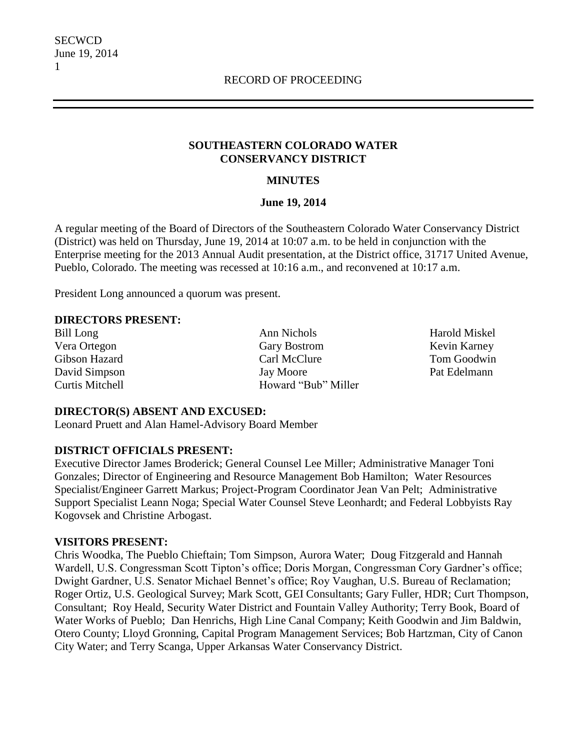### **SOUTHEASTERN COLORADO WATER CONSERVANCY DISTRICT**

### **MINUTES**

### **June 19, 2014**

A regular meeting of the Board of Directors of the Southeastern Colorado Water Conservancy District (District) was held on Thursday, June 19, 2014 at 10:07 a.m. to be held in conjunction with the Enterprise meeting for the 2013 Annual Audit presentation, at the District office, 31717 United Avenue, Pueblo, Colorado. The meeting was recessed at 10:16 a.m., and reconvened at 10:17 a.m.

President Long announced a quorum was present.

### **DIRECTORS PRESENT:**

Bill Long **Ann Nichols** Ann Nichols **Harold Miskel** Vera Ortegon Gary Bostrom Gary Bostrom Kevin Karney Gibson Hazard Carl McClure Tom Goodwin David Simpson Jay Moore Pat Edelmann Curtis Mitchell **Howard** "Bub" Miller

#### **DIRECTOR(S) ABSENT AND EXCUSED:**

Leonard Pruett and Alan Hamel-Advisory Board Member

### **DISTRICT OFFICIALS PRESENT:**

Executive Director James Broderick; General Counsel Lee Miller; Administrative Manager Toni Gonzales; Director of Engineering and Resource Management Bob Hamilton; Water Resources Specialist/Engineer Garrett Markus; Project-Program Coordinator Jean Van Pelt; Administrative Support Specialist Leann Noga; Special Water Counsel Steve Leonhardt; and Federal Lobbyists Ray Kogovsek and Christine Arbogast.

### **VISITORS PRESENT:**

Chris Woodka, The Pueblo Chieftain; Tom Simpson, Aurora Water; Doug Fitzgerald and Hannah Wardell, U.S. Congressman Scott Tipton's office; Doris Morgan, Congressman Cory Gardner's office; Dwight Gardner, U.S. Senator Michael Bennet's office; Roy Vaughan, U.S. Bureau of Reclamation; Roger Ortiz, U.S. Geological Survey; Mark Scott, GEI Consultants; Gary Fuller, HDR; Curt Thompson, Consultant; Roy Heald, Security Water District and Fountain Valley Authority; Terry Book, Board of Water Works of Pueblo; Dan Henrichs, High Line Canal Company; Keith Goodwin and Jim Baldwin, Otero County; Lloyd Gronning, Capital Program Management Services; Bob Hartzman, City of Canon City Water; and Terry Scanga, Upper Arkansas Water Conservancy District.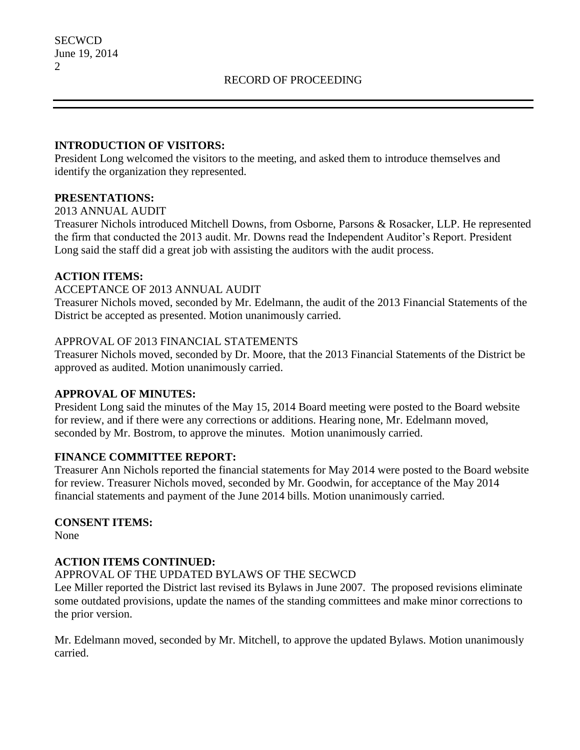### **INTRODUCTION OF VISITORS:**

President Long welcomed the visitors to the meeting, and asked them to introduce themselves and identify the organization they represented.

### **PRESENTATIONS:**

### 2013 ANNUAL AUDIT

Treasurer Nichols introduced Mitchell Downs, from Osborne, Parsons & Rosacker, LLP. He represented the firm that conducted the 2013 audit. Mr. Downs read the Independent Auditor's Report. President Long said the staff did a great job with assisting the auditors with the audit process.

# **ACTION ITEMS:**

### ACCEPTANCE OF 2013 ANNUAL AUDIT

Treasurer Nichols moved, seconded by Mr. Edelmann, the audit of the 2013 Financial Statements of the District be accepted as presented. Motion unanimously carried.

### APPROVAL OF 2013 FINANCIAL STATEMENTS

Treasurer Nichols moved, seconded by Dr. Moore, that the 2013 Financial Statements of the District be approved as audited. Motion unanimously carried.

### **APPROVAL OF MINUTES:**

President Long said the minutes of the May 15, 2014 Board meeting were posted to the Board website for review, and if there were any corrections or additions. Hearing none, Mr. Edelmann moved, seconded by Mr. Bostrom, to approve the minutes. Motion unanimously carried.

# **FINANCE COMMITTEE REPORT:**

Treasurer Ann Nichols reported the financial statements for May 2014 were posted to the Board website for review. Treasurer Nichols moved, seconded by Mr. Goodwin, for acceptance of the May 2014 financial statements and payment of the June 2014 bills. Motion unanimously carried.

# **CONSENT ITEMS:**

None

# **ACTION ITEMS CONTINUED:**

### APPROVAL OF THE UPDATED BYLAWS OF THE SECWCD

Lee Miller reported the District last revised its Bylaws in June 2007. The proposed revisions eliminate some outdated provisions, update the names of the standing committees and make minor corrections to the prior version.

Mr. Edelmann moved, seconded by Mr. Mitchell, to approve the updated Bylaws. Motion unanimously carried.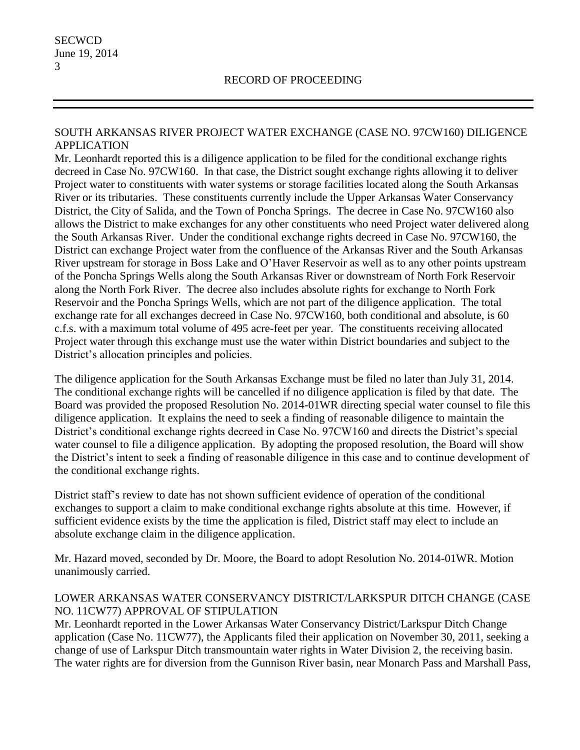### SOUTH ARKANSAS RIVER PROJECT WATER EXCHANGE (CASE NO. 97CW160) DILIGENCE APPLICATION

Mr. Leonhardt reported this is a diligence application to be filed for the conditional exchange rights decreed in Case No. 97CW160. In that case, the District sought exchange rights allowing it to deliver Project water to constituents with water systems or storage facilities located along the South Arkansas River or its tributaries. These constituents currently include the Upper Arkansas Water Conservancy District, the City of Salida, and the Town of Poncha Springs. The decree in Case No. 97CW160 also allows the District to make exchanges for any other constituents who need Project water delivered along the South Arkansas River. Under the conditional exchange rights decreed in Case No. 97CW160, the District can exchange Project water from the confluence of the Arkansas River and the South Arkansas River upstream for storage in Boss Lake and O'Haver Reservoir as well as to any other points upstream of the Poncha Springs Wells along the South Arkansas River or downstream of North Fork Reservoir along the North Fork River. The decree also includes absolute rights for exchange to North Fork Reservoir and the Poncha Springs Wells, which are not part of the diligence application. The total exchange rate for all exchanges decreed in Case No. 97CW160, both conditional and absolute, is 60 c.f.s. with a maximum total volume of 495 acre-feet per year. The constituents receiving allocated Project water through this exchange must use the water within District boundaries and subject to the District's allocation principles and policies.

The diligence application for the South Arkansas Exchange must be filed no later than July 31, 2014. The conditional exchange rights will be cancelled if no diligence application is filed by that date. The Board was provided the proposed Resolution No. 2014-01WR directing special water counsel to file this diligence application. It explains the need to seek a finding of reasonable diligence to maintain the District's conditional exchange rights decreed in Case No. 97CW160 and directs the District's special water counsel to file a diligence application. By adopting the proposed resolution, the Board will show the District's intent to seek a finding of reasonable diligence in this case and to continue development of the conditional exchange rights.

District staff's review to date has not shown sufficient evidence of operation of the conditional exchanges to support a claim to make conditional exchange rights absolute at this time. However, if sufficient evidence exists by the time the application is filed, District staff may elect to include an absolute exchange claim in the diligence application.

Mr. Hazard moved, seconded by Dr. Moore, the Board to adopt Resolution No. 2014-01WR. Motion unanimously carried.

### LOWER ARKANSAS WATER CONSERVANCY DISTRICT/LARKSPUR DITCH CHANGE (CASE NO. 11CW77) APPROVAL OF STIPULATION

Mr. Leonhardt reported in the Lower Arkansas Water Conservancy District/Larkspur Ditch Change application (Case No. 11CW77), the Applicants filed their application on November 30, 2011, seeking a change of use of Larkspur Ditch transmountain water rights in Water Division 2, the receiving basin. The water rights are for diversion from the Gunnison River basin, near Monarch Pass and Marshall Pass,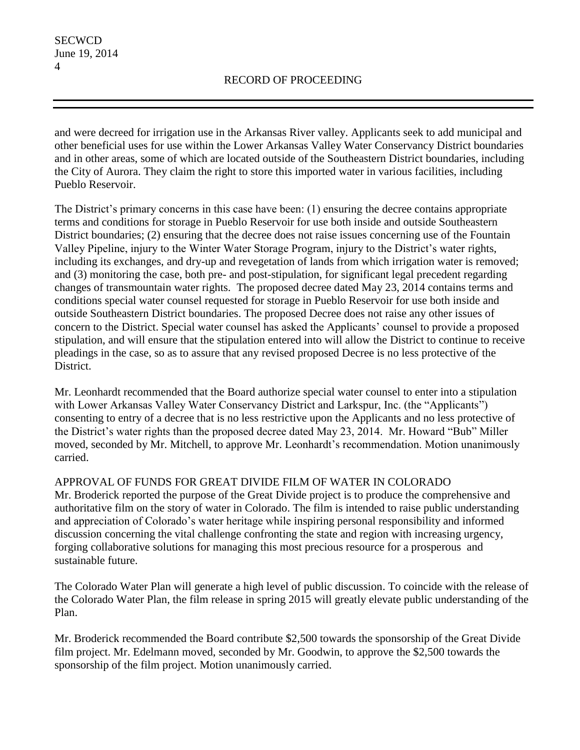and were decreed for irrigation use in the Arkansas River valley. Applicants seek to add municipal and other beneficial uses for use within the Lower Arkansas Valley Water Conservancy District boundaries and in other areas, some of which are located outside of the Southeastern District boundaries, including the City of Aurora. They claim the right to store this imported water in various facilities, including Pueblo Reservoir.

The District's primary concerns in this case have been: (1) ensuring the decree contains appropriate terms and conditions for storage in Pueblo Reservoir for use both inside and outside Southeastern District boundaries; (2) ensuring that the decree does not raise issues concerning use of the Fountain Valley Pipeline, injury to the Winter Water Storage Program, injury to the District's water rights, including its exchanges, and dry-up and revegetation of lands from which irrigation water is removed; and (3) monitoring the case, both pre- and post-stipulation, for significant legal precedent regarding changes of transmountain water rights. The proposed decree dated May 23, 2014 contains terms and conditions special water counsel requested for storage in Pueblo Reservoir for use both inside and outside Southeastern District boundaries. The proposed Decree does not raise any other issues of concern to the District. Special water counsel has asked the Applicants' counsel to provide a proposed stipulation, and will ensure that the stipulation entered into will allow the District to continue to receive pleadings in the case, so as to assure that any revised proposed Decree is no less protective of the District.

Mr. Leonhardt recommended that the Board authorize special water counsel to enter into a stipulation with Lower Arkansas Valley Water Conservancy District and Larkspur, Inc. (the "Applicants") consenting to entry of a decree that is no less restrictive upon the Applicants and no less protective of the District's water rights than the proposed decree dated May 23, 2014. Mr. Howard "Bub" Miller moved, seconded by Mr. Mitchell, to approve Mr. Leonhardt's recommendation. Motion unanimously carried.

APPROVAL OF FUNDS FOR GREAT DIVIDE FILM OF WATER IN COLORADO

Mr. Broderick reported the purpose of the Great Divide project is to produce the comprehensive and authoritative film on the story of water in Colorado. The film is intended to raise public understanding and appreciation of Colorado's water heritage while inspiring personal responsibility and informed discussion concerning the vital challenge confronting the state and region with increasing urgency, forging collaborative solutions for managing this most precious resource for a prosperous and sustainable future.

The Colorado Water Plan will generate a high level of public discussion. To coincide with the release of the Colorado Water Plan, the film release in spring 2015 will greatly elevate public understanding of the Plan.

Mr. Broderick recommended the Board contribute \$2,500 towards the sponsorship of the Great Divide film project. Mr. Edelmann moved, seconded by Mr. Goodwin, to approve the \$2,500 towards the sponsorship of the film project. Motion unanimously carried.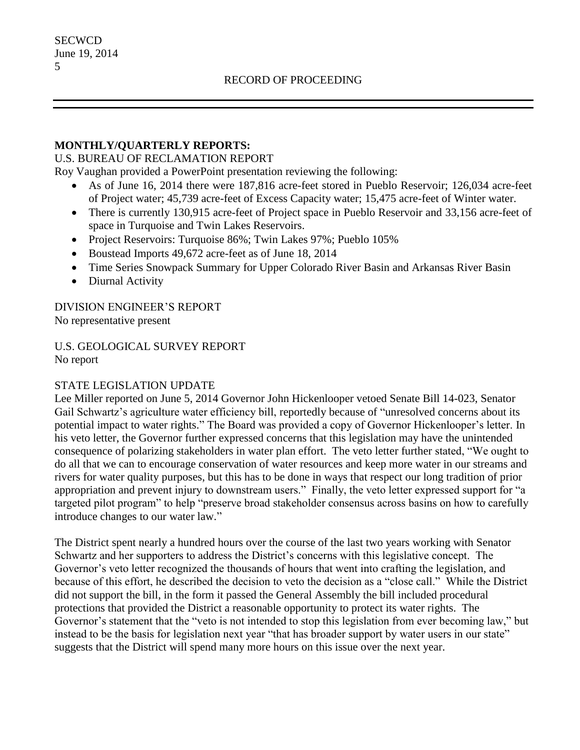### **MONTHLY/QUARTERLY REPORTS:**

### U.S. BUREAU OF RECLAMATION REPORT

Roy Vaughan provided a PowerPoint presentation reviewing the following:

- As of June 16, 2014 there were 187,816 acre-feet stored in Pueblo Reservoir; 126,034 acre-feet of Project water; 45,739 acre-feet of Excess Capacity water; 15,475 acre-feet of Winter water.
- There is currently 130,915 acre-feet of Project space in Pueblo Reservoir and 33,156 acre-feet of space in Turquoise and Twin Lakes Reservoirs.
- Project Reservoirs: Turquoise 86%; Twin Lakes 97%; Pueblo 105%
- Boustead Imports 49,672 acre-feet as of June 18, 2014
- Time Series Snowpack Summary for Upper Colorado River Basin and Arkansas River Basin
- Diurnal Activity

DIVISION ENGINEER'S REPORT No representative present

U.S. GEOLOGICAL SURVEY REPORT No report

### STATE LEGISLATION UPDATE

Lee Miller reported on June 5, 2014 Governor John Hickenlooper vetoed Senate Bill 14-023, Senator Gail Schwartz's agriculture water efficiency bill, reportedly because of "unresolved concerns about its potential impact to water rights." The Board was provided a copy of Governor Hickenlooper's letter. In his veto letter, the Governor further expressed concerns that this legislation may have the unintended consequence of polarizing stakeholders in water plan effort. The veto letter further stated, "We ought to do all that we can to encourage conservation of water resources and keep more water in our streams and rivers for water quality purposes, but this has to be done in ways that respect our long tradition of prior appropriation and prevent injury to downstream users." Finally, the veto letter expressed support for "a targeted pilot program" to help "preserve broad stakeholder consensus across basins on how to carefully introduce changes to our water law."

The District spent nearly a hundred hours over the course of the last two years working with Senator Schwartz and her supporters to address the District's concerns with this legislative concept. The Governor's veto letter recognized the thousands of hours that went into crafting the legislation, and because of this effort, he described the decision to veto the decision as a "close call." While the District did not support the bill, in the form it passed the General Assembly the bill included procedural protections that provided the District a reasonable opportunity to protect its water rights. The Governor's statement that the "veto is not intended to stop this legislation from ever becoming law," but instead to be the basis for legislation next year "that has broader support by water users in our state" suggests that the District will spend many more hours on this issue over the next year.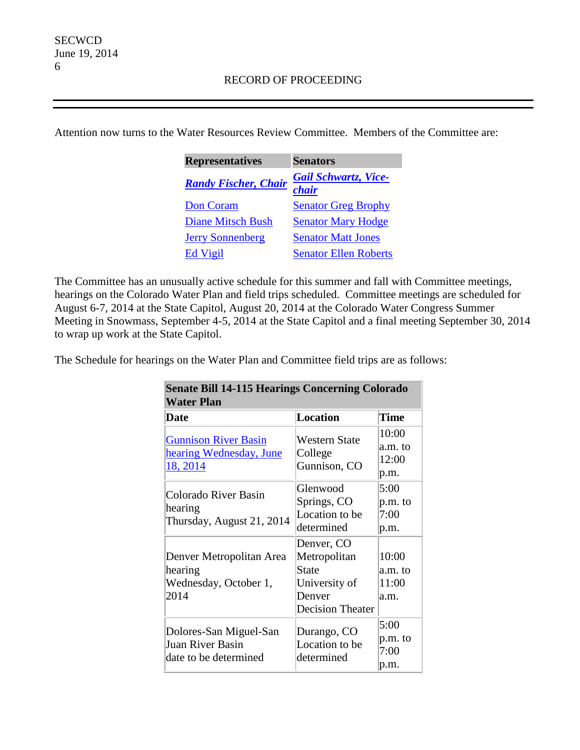Attention now turns to the Water Resources Review Committee. Members of the Committee are:

| <b>Representatives</b>      | <b>Senators</b>                      |
|-----------------------------|--------------------------------------|
| <b>Randy Fischer, Chair</b> | <b>Gail Schwartz, Vice-</b><br>chair |
| <b>Don Coram</b>            | <b>Senator Greg Brophy</b>           |
| <b>Diane Mitsch Bush</b>    | <b>Senator Mary Hodge</b>            |
| <b>Jerry Sonnenberg</b>     | <b>Senator Matt Jones</b>            |
| Ed Vigil                    | <b>Senator Ellen Roberts</b>         |

The Committee has an unusually active schedule for this summer and fall with Committee meetings, hearings on the Colorado Water Plan and field trips scheduled. Committee meetings are scheduled for August 6-7, 2014 at the State Capitol, August 20, 2014 at the Colorado Water Congress Summer Meeting in Snowmass, September 4-5, 2014 at the State Capitol and a final meeting September 30, 2014 to wrap up work at the State Capitol.

The Schedule for hearings on the Water Plan and Committee field trips are as follows:

| <b>Senate Bill 14-115 Hearings Concerning Colorado</b><br><b>Water Plan</b> |                                                                                           |                                   |
|-----------------------------------------------------------------------------|-------------------------------------------------------------------------------------------|-----------------------------------|
| Date                                                                        | <b>Location</b>                                                                           | <b>Time</b>                       |
| <b>Gunnison River Basin</b><br>hearing Wednesday, June<br>18, 2014          | <b>Western State</b><br>College<br>Gunnison, CO                                           | 10:00<br>a.m. to<br>12:00<br>p.m. |
| Colorado River Basin<br>hearing<br>Thursday, August 21, 2014                | Glenwood<br>Springs, CO<br>Location to be<br>determined                                   | 5:00<br>p.m. to<br>7:00<br>p.m.   |
| Denver Metropolitan Area<br>hearing<br>Wednesday, October 1,<br>2014        | Denver, CO<br>Metropolitan<br>State<br>University of<br>Denver<br><b>Decision Theater</b> | 10:00<br>a.m. to<br>11:00<br>a.m. |
| Dolores-San Miguel-San<br>Juan River Basin<br>date to be determined         | Durango, CO<br>Location to be<br>determined                                               | 5:00<br>p.m. to<br>7:00<br>p.m.   |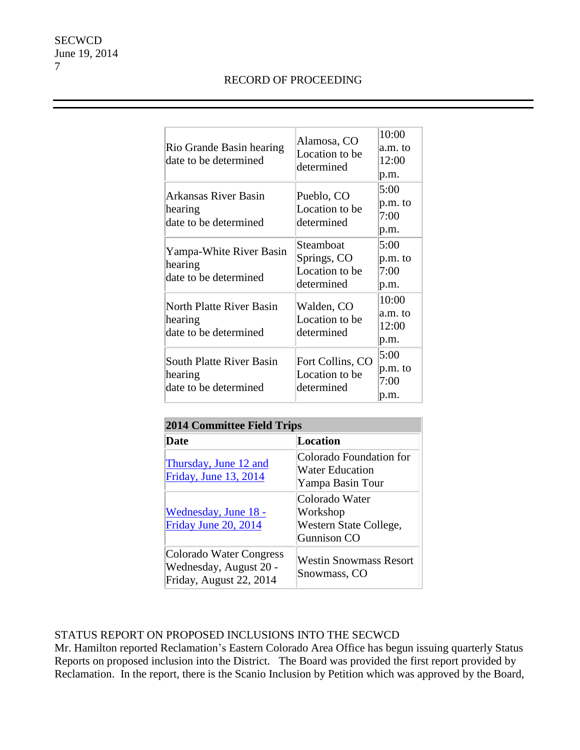# RECORD OF PROCEEDING

| Rio Grande Basin hearing<br>date to be determined            | Alamosa, CO<br>Location to be<br>determined              | 10:00<br>a.m. to<br>12:00<br>p.m. |
|--------------------------------------------------------------|----------------------------------------------------------|-----------------------------------|
| Arkansas River Basin<br>hearing<br>date to be determined     | Pueblo, CO<br>Location to be<br>determined               | 5:00<br>p.m. to<br>7:00<br>p.m.   |
| Yampa-White River Basin<br>hearing<br>date to be determined  | Steamboat<br>Springs, CO<br>Location to be<br>determined | 5:00<br>p.m. to<br>7:00<br>p.m.   |
| North Platte River Basin<br>hearing<br>date to be determined | Walden, CO<br>Location to be<br>determined               | 10:00<br>a.m. to<br>12:00<br>p.m. |
| South Platte River Basin<br>hearing<br>date to be determined | Fort Collins, CO<br>Location to be<br>determined         | 5:00<br>p.m. to<br>7:00<br>p.m.   |

| <b>2014 Committee Field Trips</b>                                            |                                                                     |  |
|------------------------------------------------------------------------------|---------------------------------------------------------------------|--|
| Date                                                                         | <b>Location</b>                                                     |  |
| Thursday, June 12 and<br>Friday, June 13, 2014                               | Colorado Foundation for<br>Water Education<br>Yampa Basin Tour      |  |
| Wednesday, June 18 -<br>Friday June 20, 2014                                 | Colorado Water<br>Workshop<br>Western State College,<br>Gunnison CO |  |
| Colorado Water Congress<br>Wednesday, August 20 -<br>Friday, August 22, 2014 | <b>Westin Snowmass Resort</b><br>Snowmass, CO                       |  |

# STATUS REPORT ON PROPOSED INCLUSIONS INTO THE SECWCD

Mr. Hamilton reported Reclamation's Eastern Colorado Area Office has begun issuing quarterly Status Reports on proposed inclusion into the District. The Board was provided the first report provided by Reclamation. In the report, there is the Scanio Inclusion by Petition which was approved by the Board,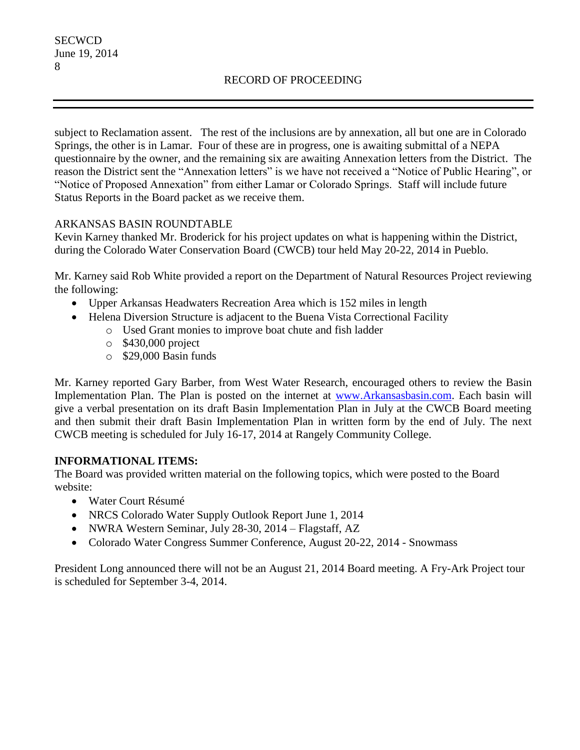subject to Reclamation assent. The rest of the inclusions are by annexation, all but one are in Colorado Springs, the other is in Lamar. Four of these are in progress, one is awaiting submittal of a NEPA questionnaire by the owner, and the remaining six are awaiting Annexation letters from the District. The reason the District sent the "Annexation letters" is we have not received a "Notice of Public Hearing", or "Notice of Proposed Annexation" from either Lamar or Colorado Springs. Staff will include future Status Reports in the Board packet as we receive them.

### ARKANSAS BASIN ROUNDTABLE

Kevin Karney thanked Mr. Broderick for his project updates on what is happening within the District, during the Colorado Water Conservation Board (CWCB) tour held May 20-22, 2014 in Pueblo.

Mr. Karney said Rob White provided a report on the Department of Natural Resources Project reviewing the following:

- Upper Arkansas Headwaters Recreation Area which is 152 miles in length
- Helena Diversion Structure is adjacent to the Buena Vista Correctional Facility
	- o Used Grant monies to improve boat chute and fish ladder
	- o \$430,000 project
	- o \$29,000 Basin funds

Mr. Karney reported Gary Barber, from West Water Research, encouraged others to review the Basin Implementation Plan. The Plan is posted on the internet at [www.Arkansasbasin.com.](http://www.arkansasbasin.com/) Each basin will give a verbal presentation on its draft Basin Implementation Plan in July at the CWCB Board meeting and then submit their draft Basin Implementation Plan in written form by the end of July. The next CWCB meeting is scheduled for July 16-17, 2014 at Rangely Community College.

# **INFORMATIONAL ITEMS:**

The Board was provided written material on the following topics, which were posted to the Board website:

- Water Court Résumé
- NRCS Colorado Water Supply Outlook Report June 1, 2014
- NWRA Western Seminar, July 28-30, 2014 Flagstaff, AZ
- Colorado Water Congress Summer Conference, August 20-22, 2014 Snowmass

President Long announced there will not be an August 21, 2014 Board meeting. A Fry-Ark Project tour is scheduled for September 3-4, 2014.